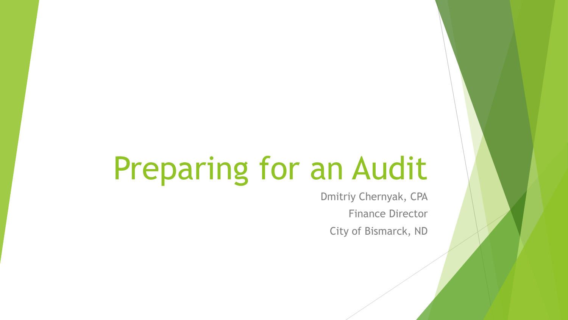# Preparing for an Audit

Dmitriy Chernyak, CPA Finance Director City of Bismarck, ND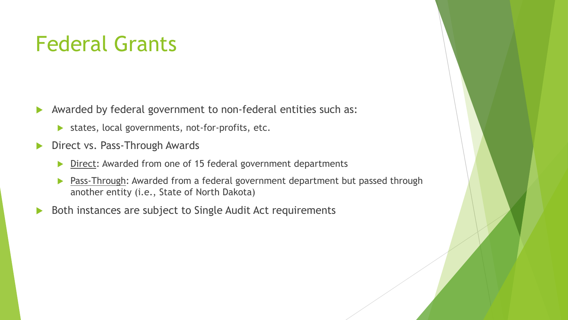#### Federal Grants

- Awarded by federal government to non-federal entities such as:
	- states, local governments, not-for-profits, etc.
- Direct vs. Pass-Through Awards
	- Direct: Awarded from one of 15 federal government departments
	- **Pass-Through:** Awarded from a federal government department but passed through another entity (i.e., State of North Dakota)
- ▶ Both instances are subject to Single Audit Act requirements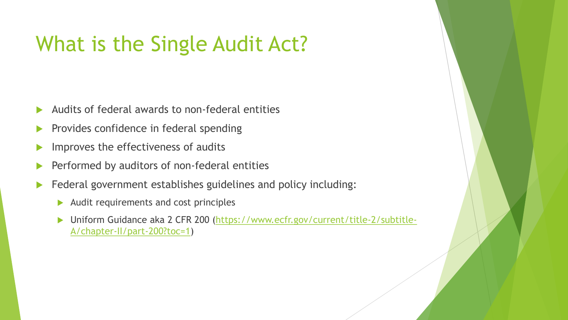#### What is the Single Audit Act?

- Audits of federal awards to non-federal entities
- Provides confidence in federal spending
- Improves the effectiveness of audits
- Performed by auditors of non-federal entities
- Federal government establishes guidelines and policy including:
	- $\blacktriangleright$  Audit requirements and cost principles
	- ▶ [Uniform Guidance aka 2 CFR 200 \(https://www.ecfr.gov/current/title-2/subtitle-](https://www.ecfr.gov/current/title-2/subtitle-A/chapter-II/part-200?toc=1)A/chapter-II/part-200?toc=1)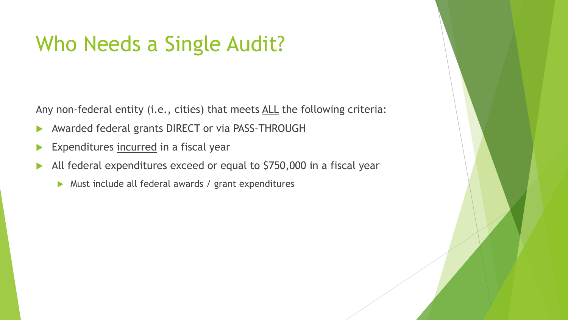#### Who Needs a Single Audit?

Any non-federal entity (i.e., cities) that meets ALL the following criteria:

- Awarded federal grants DIRECT or via PASS-THROUGH
- Expenditures incurred in a fiscal year
- All federal expenditures exceed or equal to \$750,000 in a fiscal year
	- ▶ Must include all federal awards / grant expenditures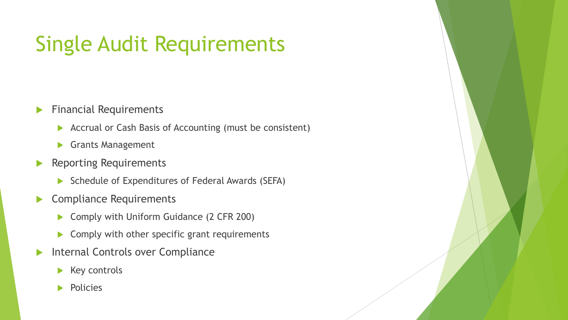# Single Audit Requirements

- **Financial Requirements** 
	- ▶ Accrual or Cash Basis of Accounting (must be consistent)
	- Grants Management
- Reporting Requirements
	- Schedule of Expenditures of Federal Awards (SEFA)
- Compliance Requirements
	- ▶ Comply with Uniform Guidance (2 CFR 200)
	- Comply with other specific grant requirements
- **Internal Controls over Compliance** 
	- Key controls
	- Policies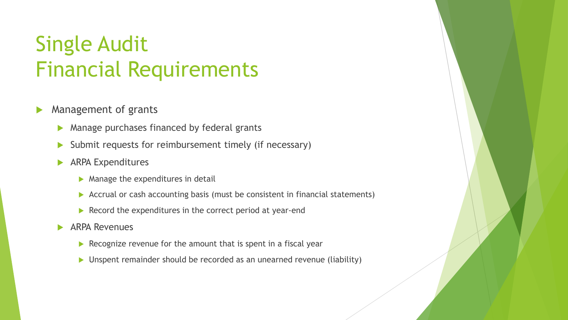#### Single Audit Financial Requirements

- Management of grants
	- **Manage purchases financed by federal grants**
	- Submit requests for reimbursement timely (if necessary)
	- **ARPA Expenditures** 
		- $\blacktriangleright$  Manage the expenditures in detail
		- Accrual or cash accounting basis (must be consistent in financial statements)
		- $\blacktriangleright$  Record the expenditures in the correct period at year-end
	- **ARPA Revenues** 
		- $\triangleright$  Recognize revenue for the amount that is spent in a fiscal year
		- Unspent remainder should be recorded as an unearned revenue (liability)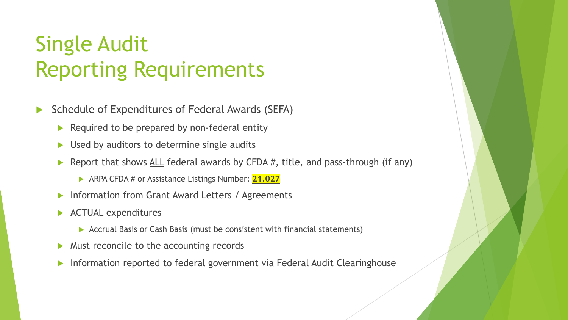# Single Audit Reporting Requirements

- Schedule of Expenditures of Federal Awards (SEFA)
	- $\blacktriangleright$  Required to be prepared by non-federal entity
	- $\triangleright$  Used by auditors to determine single audits
	- Report that shows ALL federal awards by CFDA  $#$ , title, and pass-through (if any)
		- ARPA CFDA # or Assistance Listings Number: **21.027**
	- **Information from Grant Award Letters / Agreements**
	- **ACTUAL expenditures** 
		- Accrual Basis or Cash Basis (must be consistent with financial statements)
	- ▶ Must reconcile to the accounting records
	- Information reported to federal government via Federal Audit Clearinghouse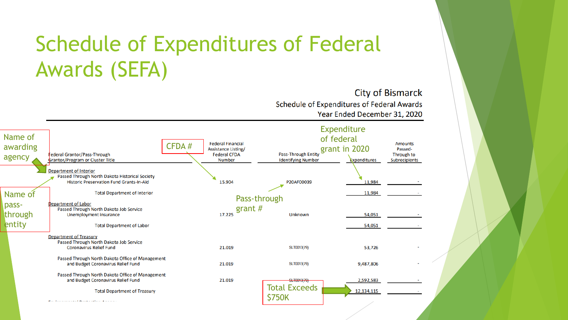# Schedule of Expenditures of Federal Awards (SEFA)

**City of Bismarck** Schedule of Expenditures of Federal Awards Year Ended December 31, 2020

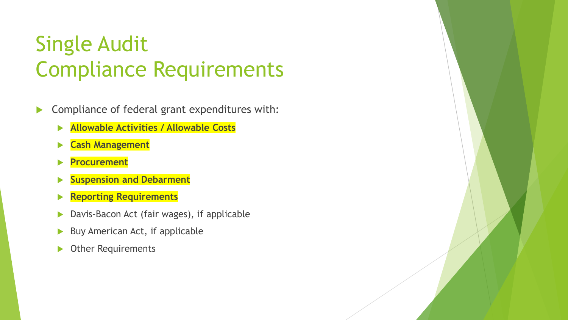- **Compliance of federal grant expenditures with:** 
	- **Allowable Activities / Allowable Costs**
	- **Cash Management**
	- **Procurement**
	- **Suspension and Debarment**
	- **Reporting Requirements**
	- ▶ Davis-Bacon Act (fair wages), if applicable
	- $\triangleright$  Buy American Act, if applicable
	- Other Requirements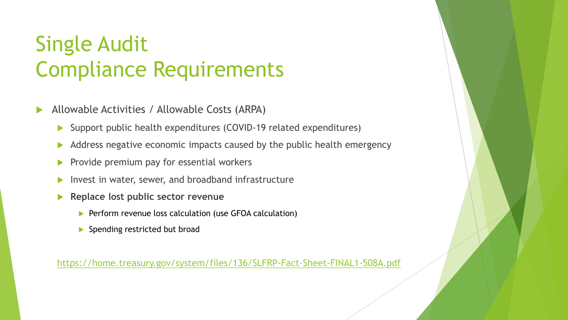- Allowable Activities / Allowable Costs (ARPA)
	- Support public health expenditures (COVID-19 related expenditures)
	- Address negative economic impacts caused by the public health emergency
	- $\blacktriangleright$  Provide premium pay for essential workers
	- Invest in water, sewer, and broadband infrastructure
	- **Replace lost public sector revenue**
		- Perform revenue loss calculation (use GFOA calculation)
		- Spending restricted but broad

<https://home.treasury.gov/system/files/136/SLFRP-Fact-Sheet-FINAL1-508A.pdf>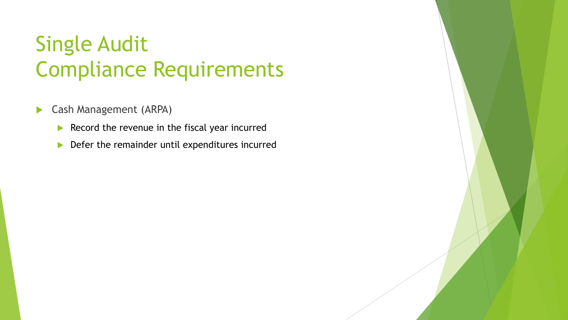- **Cash Management (ARPA)** 
	- Record the revenue in the fiscal year incurred
	- Defer the remainder until expenditures incurred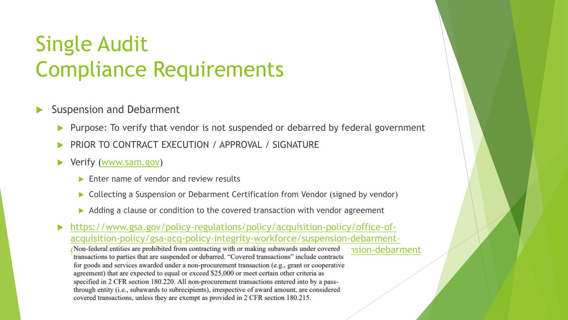- Suspension and Debarment
	- Purpose: To verify that vendor is not suspended or debarred by federal government
	- PRIOR TO CONTRACT EXECUTION / APPROVAL / SIGNATURE
	- ▶ Verify [\(www.sam.gov\)](http://www.sam.gov/)
		- Enter name of vendor and review results
		- Collecting a Suspension or Debarment Certification from Vendor (signed by vendor)
		- Adding a clause or condition to the covered transaction with vendor agreement

 https://www.gsa.gov/policy-regulations/policy/acquisition-policy/office-ofacquisition-policy/gsa-acq-policy-integrity-workforce/suspension-debarment-Non-federal entities are prohibited from contracting with or making subawards under covered<br>transactions to parties that are suspended or debarred. "Covered transactions" include contracts for goods and services awarded under a non-procurement transaction (e.g., grant or cooperative agreement) that are expected to equal or exceed \$25,000 or meet certain other criteria as specified in 2 CFR section 180.220. All non-procurement transactions entered into by a passthrough entity (i.e., subawards to subrecipients), irrespective of award amount, are considered covered transactions, unless they are exempt as provided in 2 CFR section 180.215.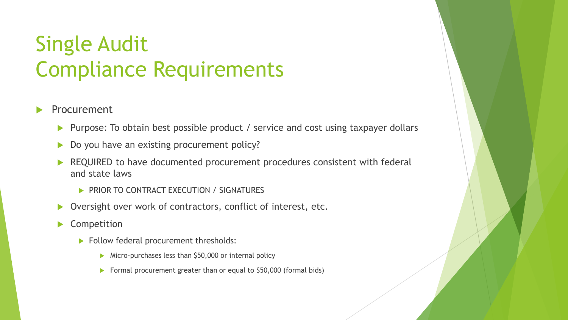- Procurement
	- ▶ Purpose: To obtain best possible product / service and cost using taxpayer dollars
	- Do you have an existing procurement policy?
	- REQUIRED to have documented procurement procedures consistent with federal and state laws
		- PRIOR TO CONTRACT EXECUTION / SIGNATURES
	- ▶ Oversight over work of contractors, conflict of interest, etc.
	- Competition
		- Follow federal procurement thresholds:
			- Micro-purchases less than \$50,000 or internal policy
			- Formal procurement greater than or equal to \$50,000 (formal bids)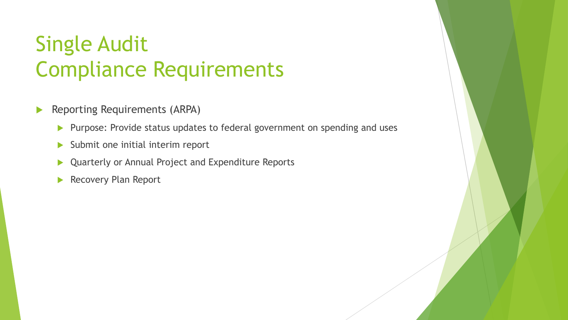- **Reporting Requirements (ARPA)** 
	- **Purpose: Provide status updates to federal government on spending and uses**
	- Submit one initial interim report
	- ▶ Quarterly or Annual Project and Expenditure Reports
	- Recovery Plan Report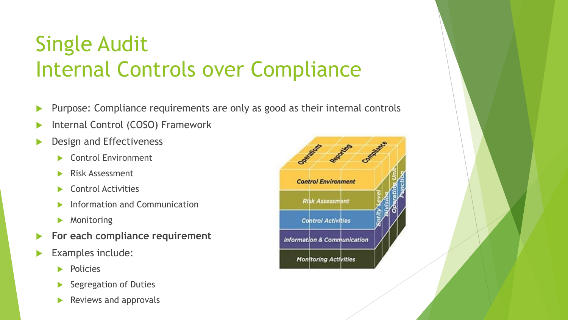# Single Audit Internal Controls over Compliance

- Purpose: Compliance requirements are only as good as their internal controls
- Internal Control (COSO) Framework
- Design and Effectiveness
	- Control Environment
	- Risk Assessment
	- Control Activities
	- Information and Communication
	- Monitoring
- **For each compliance requirement**
- Examples include:
	- Policies
	- Segregation of Duties
	- Reviews and approvals

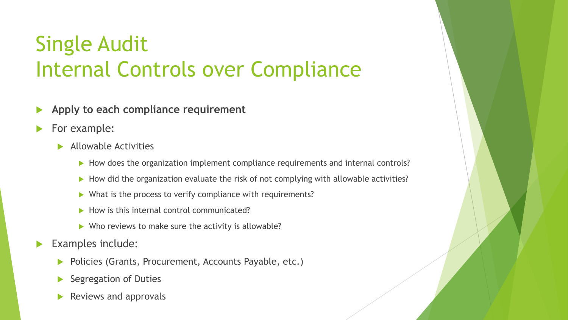# Single Audit Internal Controls over Compliance

- **Apply to each compliance requirement**
- For example:
	- **Allowable Activities** 
		- How does the organization implement compliance requirements and internal controls?
		- How did the organization evaluate the risk of not complying with allowable activities?
		- What is the process to verify compliance with requirements?
		- $\blacktriangleright$  How is this internal control communicated?
		- $\triangleright$  Who reviews to make sure the activity is allowable?
- Examples include:
	- Policies (Grants, Procurement, Accounts Payable, etc.)
	- Segregation of Duties
	- Reviews and approvals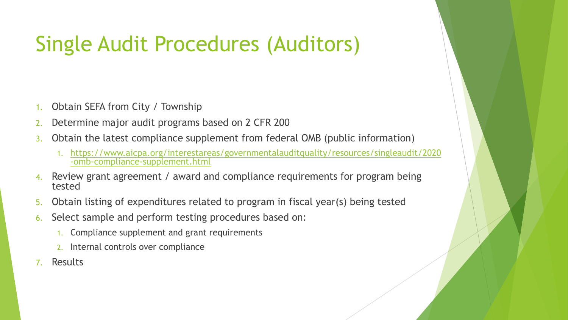#### Single Audit Procedures (Auditors)

- Obtain SEFA from City / Township
- 2. Determine major audit programs based on 2 CFR 200
- 3. Obtain the latest compliance supplement from federal OMB (public information)
	- 1. [https://www.aicpa.org/interestareas/governmentalauditquality/resources/singleaudit/2020](https://www.aicpa.org/interestareas/governmentalauditquality/resources/singleaudit/2020-omb-compliance-supplement.html) -omb-compliance-supplement.html
- 4. Review grant agreement / award and compliance requirements for program being tested
- 5. Obtain listing of expenditures related to program in fiscal year(s) being tested
- 6. Select sample and perform testing procedures based on:
	- 1. Compliance supplement and grant requirements
	- 2. Internal controls over compliance
- 7. Results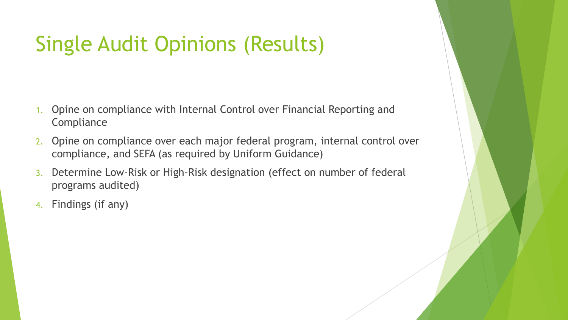# Single Audit Opinions (Results)

- 1. Opine on compliance with Internal Control over Financial Reporting and **Compliance**
- 2. Opine on compliance over each major federal program, internal control over compliance, and SEFA (as required by Uniform Guidance)
- 3. Determine Low-Risk or High-Risk designation (effect on number of federal programs audited)
- 4. Findings (if any)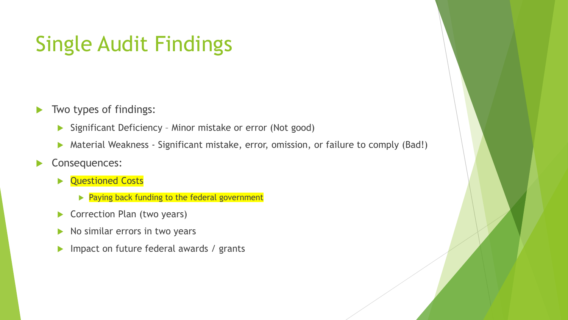#### Single Audit Findings

- $\blacktriangleright$  Two types of findings:
	- ▶ Significant Deficiency Minor mistake or error (Not good)
	- Material Weakness Significant mistake, error, omission, or failure to comply (Bad!)
- Consequences:
	- **Questioned Costs** 
		- $\triangleright$  Paying back funding to the federal government
	- ▶ Correction Plan (two years)
	- $\triangleright$  No similar errors in two years
	- Impact on future federal awards / grants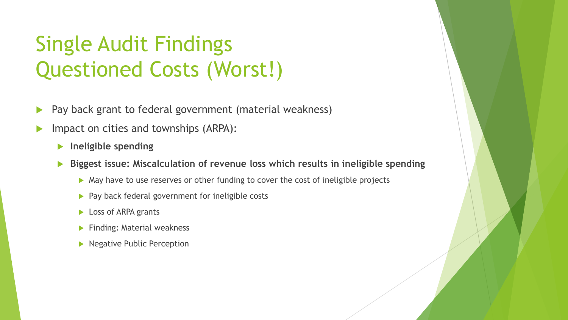# Single Audit Findings Questioned Costs (Worst!)

- **Pay back grant to federal government (material weakness)**
- Impact on cities and townships (ARPA):
	- **Ineligible spending**
	- **Biggest issue: Miscalculation of revenue loss which results in ineligible spending**
		- May have to use reserves or other funding to cover the cost of ineligible projects
		- $\blacktriangleright$  Pay back federal government for ineligible costs
		- **Loss of ARPA grants**
		- Finding: Material weakness
		- **Negative Public Perception**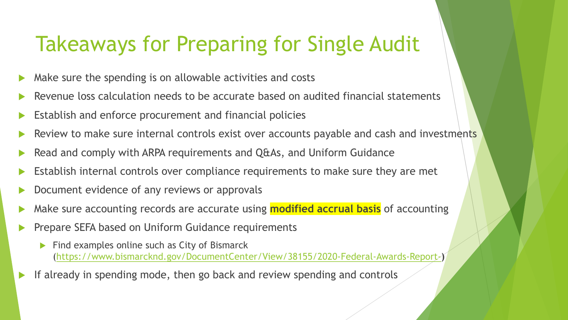#### Takeaways for Preparing for Single Audit

- Make sure the spending is on allowable activities and costs
- Revenue loss calculation needs to be accurate based on audited financial statements
- Establish and enforce procurement and financial policies
- Review to make sure internal controls exist over accounts payable and cash and investments
- Read and comply with ARPA requirements and Q&As, and Uniform Guidance
- Establish internal controls over compliance requirements to make sure they are met
- Document evidence of any reviews or approvals
- Make sure accounting records are accurate using **modified accrual basis** of accounting
- Prepare SEFA based on Uniform Guidance requirements
	- Find examples online such as City of Bismarck [\(https://www.bismarcknd.gov/DocumentCenter/View/38155/2020-Federal-Awards-Report-](https://www.bismarcknd.gov/DocumentCenter/View/38155/2020-Federal-Awards-Report-)**)**
- If already in spending mode, then go back and review spending and controls